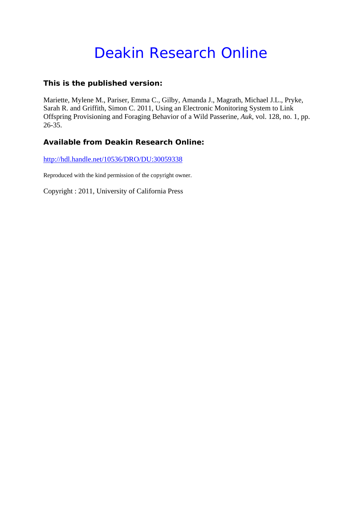# Deakin Research Online

### **This is the published version:**

Mariette, Mylene M., Pariser, Emma C., Gilby, Amanda J., Magrath, Michael J.L., Pryke, Sarah R. and Griffith, Simon C. 2011, Using an Electronic Monitoring System to Link Offspring Provisioning and Foraging Behavior of a Wild Passerine*, Auk*, vol. 128, no. 1, pp. 26-35.

## **Available from Deakin Research Online:**

http://hdl.handle.net/10536/DRO/DU:30059338

Reproduced with the kind permission of the copyright owner.

Copyright : 2011, University of California Press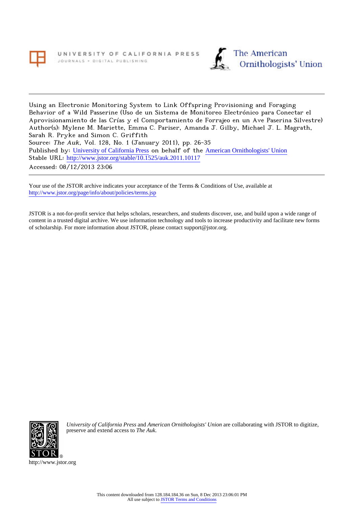

UNIVERSITY OF CALIFORNIA PRESS JOURNALS + DIGITAL PUBLISHING



Using an Electronic Monitoring System to Link Offspring Provisioning and Foraging Behavior of a Wild Passerine (Uso de un Sistema de Monitoreo Electrónico para Conectar el Aprovisionamiento de las Crías y el Comportamiento de Forrajeo en un Ave Paserina Silvestre) Author(s): Mylene M. Mariette, Emma C. Pariser, Amanda J. Gilby, Michael J. L. Magrath, Sarah R. Pryke and Simon C. Griffith Source: The Auk, Vol. 128, No. 1 (January 2011), pp. 26-35 Published by: [University of California Press](http://www.jstor.org/action/showPublisher?publisherCode=ucal) on behalf of the [American Ornithologists' Union](http://www.jstor.org/action/showPublisher?publisherCode=aou) Stable URL: http://www.jstor.org/stable/10.1525/auk.2011.10117

Accessed: 08/12/2013 23:06

Your use of the JSTOR archive indicates your acceptance of the Terms & Conditions of Use, available at <http://www.jstor.org/page/info/about/policies/terms.jsp>

JSTOR is a not-for-profit service that helps scholars, researchers, and students discover, use, and build upon a wide range of content in a trusted digital archive. We use information technology and tools to increase productivity and facilitate new forms of scholarship. For more information about JSTOR, please contact support@jstor.org.



*University of California Press* and *American Ornithologists' Union* are collaborating with JSTOR to digitize, preserve and extend access to *The Auk.*

http://www.jstor.org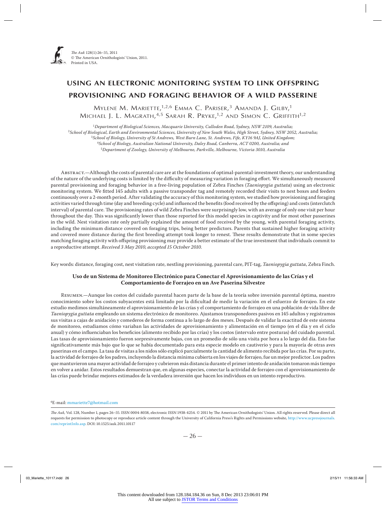# **USING AN ELECTRONIC MONITORING SYSTEM TO LINK OFFSPRING PROVISIONING AND FORAGING BEHAVIOR OF A WILD PASSERINE**

Mylene M. Mariette, $^{1,2,6}$  Emma C. Pariser, $^3$  Amanda J. Gilby, $^1$ Michael J. L. Magrath, <sup>4,5</sup> Sarah R. Pryke, <sup>1,2</sup> and Simon C. Griffith<sup>1,2</sup>

*Department of Biological Sciences, Macquarie University, Culloden Road, Sydney, NSW 2109, Australia; School of Biological, Earth and Environmental Sciences, University of New South Wales, High Street, Sydney, NSW 2052, Australia; School of Biology, University of St Andrews, West Burn Lane, St. Andrews, Fife, KY16 9AJ, United Kingdom; School of Biology, Australian National University, Daley Road, Canberra, ACT 0200, Australia; and Department of Zoology, University of Melbourne, Parkville, Melbourne, Victoria 3010, Australia*

Abstract.—Although the costs of parental care are at the foundations of optimal-parental-investment theory, our understanding of the nature of the underlying costs is limited by the difficulty of measuring variation in foraging effort. We simultaneously measured parental provisioning and foraging behavior in a free-living population of Zebra Finches (*Taeniopygia guttata*) using an electronic monitoring system. We fitted 145 adults with a passive transponder tag and remotely recorded their visits to nest boxes and feeders continuously over a 2-month period. After validating the accuracy of this monitoring system, we studied how provisioning and foraging activities varied through time (day and breeding cycle) and influenced the benefits (food received by the offspring) and costs (interclutch interval) of parental care. The provisioning rates of wild Zebra Finches were surprisingly low, with an average of only one visit per hour throughout the day. This was significantly lower than those reported for this model species in captivity and for most other passerines in the wild. Nest visitation rate only partially explained the amount of food received by the young, with parental foraging activity, including the minimum distance covered on foraging trips, being better predictors. Parents that sustained higher foraging activity and covered more distance during the first breeding attempt took longer to renest. These results demonstrate that in some species matching foraging activity with offspring provisioning may provide a better estimate of the true investment that individuals commit to a reproductive attempt. *Received 3 May 2010, accepted 15 October 2010.*

Key words: distance, foraging cost, nest visitation rate, nestling provisioning, parental care, PIT-tag, *Taeniopygia guttata*, Zebra Finch.

#### **Uso de un Sistema de Monitoreo Electrónico para Conectar el Aprovisionamiento de las Crías y el Comportamiento de Forrajeo en un Ave Paserina Silvestre**

Resumen.—Aunque los costos del cuidado parental hacen parte de la base de la teoría sobre inversión parental óptima, nuestro conocimiento sobre los costos subyacentes está limitado por la dificultad de medir la variación en el esfuerzo de forrajeo. En este estudio medimos simultáneamente el aprovisionamiento de las crías y el comportamiento de forrajeo en una población de vida libre de *Taeniopygia guttata* empleando un sistema electrónico de monitoreo. Ajustamos transponedores pasivos en 145 adultos y registramos sus visitas a cajas de anidación y comederos de forma continua a lo largo de dos meses. Después de validar la exactitud de este sistema de monitoreo, estudiamos cómo variaban las actividades de aprovisionamiento y alimentación en el tiempo (en el día y en el ciclo anual) y cómo influenciaban los beneficios (alimento recibido por las crías) y los costos (intervalo entre posturas) del cuidado parental. Las tasas de aprovisionamiento fueron sorpresivamente bajas, con un promedio de sólo una visita por hora a lo largo del día. Esto fue significativamente más bajo que lo que se había documentado para esta especie modelo en cautiverio y para la mayoría de otras aves paserinas en el campo. La tasa de visitas a los nidos sólo explicó parcialmente la cantidad de alimento recibida por las crías. Por su parte, la actividad de forrajeo de los padres, incluyendo la distancia mínima cubierta en los viajes de forrajeo, fue un mejor predictor. Los padres que mantuvieron una mayor actividad de forrajeo y cubrieron más distancia durante el primer intento de anidación tomaron más tiempo en volver a anidar. Estos resultados demuestran que, en algunas especies, conectar la actividad de forrajeo con el aprovisionamiento de las crías puede brindar mejores estimados de la verdadera inversión que hacen los individuos en un intento reproductivo.

#### 6E-mail: [mmariette7@hotmail.com](mailto:mmariette7@hotmail.com)

*The Auk,* Vol. 128, Number 1, pages 26−35. ISSN 0004-8038, electronic ISSN 1938-4254. 2011 by The American Ornithologists' Union. All rights reserved. Please direct all requests for permission to photocopy or reproduce article content through the University of California Press's Rights and Permissions website, [http://www.ucpressjournals.](http://www.ucpressjournals.com/reprintInfo.asp) [com/reprintInfo.asp.](http://www.ucpressjournals.com/reprintInfo.asp) DOI: 10.1525/auk.2011.10117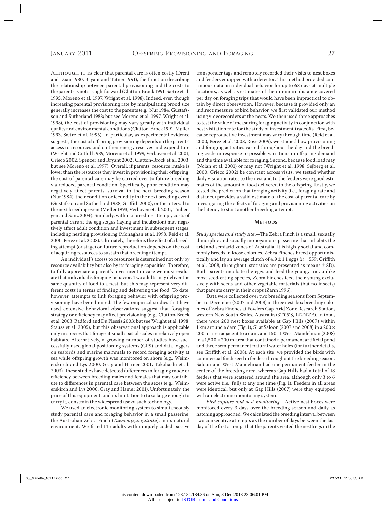ALTHOUGH IT IS clear that parental care is often costly (Drent and Daan 1980, Bryant and Tatner 1991), the function describing the relationship between parental provisioning and the costs to the parents is not straightforward (Clutton-Brock 1991, Sætre et al. 1995, Moreno et al. 1997, Wright et al. 1998). Indeed, even though increasing parental provisioning rate by manipulating brood size generally increases the cost to the parents (e.g., Nur 1984, Gustafsson and Sutherland 1988; but see Moreno et al. 1997, Wright et al. 1998), the cost of provisioning may vary greatly with individual quality and environmental conditions (Clutton-Brock 1991, Møller 1993, Sætre et al. 1995). In particular, as experimental evidence suggests, the cost of offspring provisioning depends on the parents' access to resources and on their energy reserves and expenditure (Wright and Cuthill 1989, Moreno et al. 1999, Verboven et al. 2001, Grieco 2002, Spencer and Bryant 2002, Clutton-Brock et al. 2003; but see Moreno et al. 1997). Overall, if parents' resource intake is lower than the resources they invest in provisioning their offspring, the cost of parental care may be carried over to future breeding via reduced parental condition. Specifically, poor condition may negatively affect parents' survival to the next breeding season (Nur 1984), their condition or fecundity in the next breeding event (Gustafsson and Sutherland 1988, Griffith 2000), or the interval to the next breeding event (Møller 1993, Verboven et al. 2001, Tinbergen and Sanz 2004). Similarly, within a breeding attempt, costs of parental care at the egg stages (laying and incubation) may negatively affect adult condition and investment in subsequent stages, including nestling provisioning (Monaghan et al. 1998, Reid et al. 2000, Perez et al. 2008). Ultimately, therefore, the effect of a breeding attempt (or stage) on future reproduction depends on the cost of acquiring resources to sustain that breeding attempt.

An individual's access to resources is determined not only by resource availability but also by its foraging capacities. Therefore, to fully appreciate a parent's investment in care we must evaluate that individual's foraging behavior. Two adults may deliver the same quantity of food to a nest, but this may represent very different costs in terms of finding and delivering the food. To date, however, attempts to link foraging behavior with offspring provisioning have been limited. The few empirical studies that have used extensive behavioral observations suggest that foraging strategy or efficiency may affect provisioning (e.g., Clutton-Brock et al. 2003, Radford and Du Plessis 2003; but see Wright et al. 1998, Stauss et al. 2005), but this observational approach is applicable only in species that forage at small spatial scales in relatively open habitats. Alternatively, a growing number of studies have successfully used global positioning systems (GPS) and data loggers on seabirds and marine mammals to record foraging activity at sea while offspring growth was monitored on shore (e.g., Weimerskirch and Lys 2000, Gray and Hamer 2001, Takahashi et al. 2003). These studies have detected differences in foraging mode or efficiency between breeding males and females that may contribute to differences in parental care between the sexes (e.g., Weimerskirch and Lys 2000, Gray and Hamer 2001). Unfortunately, the price of this equipment, and its limitation to taxa large enough to carry it, constrain the widespread use of such technology.

We used an electronic monitoring system to simultaneously study parental care and foraging behavior in a small passerine, the Australian Zebra Finch (*Taeniopygia guttata*), in its natural environment. We fitted 145 adults with uniquely coded passive transponder tags and remotely recorded their visits to nest boxes and feeders equipped with a detector. This method provided continuous data on individual behavior for up to 68 days at multiple locations, as well as estimates of the minimum distance covered per day on foraging trips that would have been impractical to obtain by direct observation. However, because it provided only an indirect measure of bird behavior, we first validated our method using videorecorders at the nests. We then used three approaches to test the value of measuring foraging activity in conjunction with nest visitation rate for the study of investment tradeoffs. First, because reproductive investment may vary through time (Reid et al. 2000, Perez et al. 2008, Rose 2009), we studied how provisioning and foraging activities varied throughout the day and the breeding cycle in response to possible variations in offspring demand and the time available for foraging. Second, because food load may (Nolan et al. 2001) or may not (Wright et al. 1998, Sejberg et al. 2000, Grieco 2002) be constant across visits, we tested whether daily visitation rates to the nest and to the feeders were good estimates of the amount of food delivered to the offspring. Lastly, we tested the prediction that foraging activity (i.e., foraging rate and distance) provides a valid estimate of the cost of parental care by investigating the effects of foraging and provisioning activities on the latency to start another breeding attempt.

#### **Methods**

*Study species and study site*.—The Zebra Finch is a small, sexually dimorphic and socially monogamous passerine that inhabits the arid and semiarid zones of Australia. It is highly social and commonly breeds in loose colonies. Zebra Finches breed opportunistically and lay an average clutch of  $4.9 \pm 1.1$  eggs ( $n = 559$ ; Griffith et al. 2008; throughout, statistics are presented as means  $\pm$  SD). Both parents incubate the eggs and feed the young, and, unlike most seed-eating species, Zebra Finches feed their young exclusively with seeds and other vegetable materials (but no insects) that parents carry in their crops (Zann 1996).

Data were collected over two breeding seasons from September to December (2007 and 2008) in three nest-box breeding colonies of Zebra Finches at Fowlers Gap Arid Zone Research Station, western New South Wales, Australia (31°05′S, 142°42′E). In total, there were 200 nest boxes available at Gap Hills (2007) within 1 km around a dam (Fig. 1), 51 at Saloon (2007 and 2008) in a 200  $\times$ 200 m area adjacent to a dam, and 150 at West Mandelman (2008) in a  $1,500 \times 200$  m area that contained a permanent artificial pond and three semipermanent natural water holes (for further details, see Griffith et al. 2008). At each site, we provided the birds with commercial finch seed in feeders throughout the breeding season. Saloon and West-Mandelman had one permanent feeder in the center of the breeding area, whereas Gap Hills had a total of 18 feeders that were scattered around the area, although only 3 to 6 were active (i.e., full) at any one time (Fig. 1). Feeders in all areas were identical, but only at Gap Hills (2007) were they equipped with an electronic monitoring system.

*Bird capture and nest monitoring*.—Active nest boxes were monitored every 3 days over the breeding season and daily as hatching approached. We calculated the breeding interval between two consecutive attempts as the number of days between the last day of the first attempt that the parents visited the nestlings in the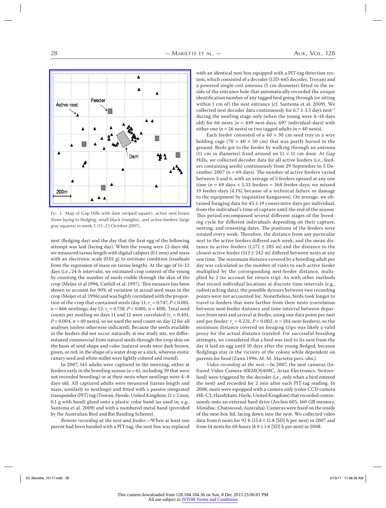

Fig. 1. Map of Gap Hills with dam (striped square), active nest boxes (from laying to fledging: small black triangles), and active feeders (large gray squares) in week 3 (15–23 October 2007).

nest (fledging day) and the day that the first egg of the following attempt was laid (laying day). When the young were 12 days old, we measured tarsus length with digital calipers (0.1 mm) and mass with an electronic scale (0.01 g) to estimate condition (residuals from the regression of mass on tarsus length). At the age of 11–12 days (i.e., 24-h intervals), we estimated crop content of the young by counting the number of seeds visible through the skin of the crop (Meijer et al 1996, Cuthill et al. 1997). This measure has been shown to account for 90% of variation in actual seed mass in the crop (Meijer et al. 1996) and was highly correlated with the proportion of the crop that contained seeds (day  $11: r_s = 0.747, P < 0.001$ , *n* = 466 nestlings; day 12:  $r_s$  = 0.758, *P* < 0.001, *n* = 408). Total seed counts per nestling on days 11 and 12 were correlated  $(r = 0.401,$  $P = 0.004$ ,  $n = 49$  nests), so we used the seed count on day 12 for all analyses (unless otherwise indicated). Because the seeds available in the feeders did not occur naturally at our study site, we differentiated commercial from natural seeds through the crop skin on the basis of seed shape and color (natural seeds were dark brown, green, or red, in the shape of a water drop or a stick, whereas exotic canary seed and white millet were lightly colored and round).

In 2007, 145 adults were captured in the morning, either at feeders early in the breeding season ( $n = 61$ , including 39 that were not recorded breeding) or at their nests when nestlings were 4–8 days old. All captured adults were measured (tarsus length and mass, similarly to nestlings) and fitted with a passive integrated transponder (PIT) tag (Trovan, Hessle, United Kingdom; 11 × 2 mm, 0.1 g with band) glued onto a plastic color band (as used in, e.g., Santema et al. 2009) and with a numbered metal band (provided by the Australian Bird and Bat Banding Scheme).

*Remote recording at the nest and feeder*.—When at least one parent had been banded with a PIT-tag, the nest box was replaced with an identical nest box equipped with a PIT-tag detection system, which consisted of a decoder (LID-665 decoder, Trovan) and a powered single-coil antenna (5 cm diameter) fitted to the inside of the entrance hole that automatically recorded the unique identification number of any tagged bird going through (or sitting within 1 cm of) the nest entrance (cf. Santema et al. 2009). We collected nest decoder data continuously for  $6.7 \pm 3.3$  days nest<sup>-1</sup> during the nestling stage only (when the young were 4–18 days old) for 66 nests ( $n = 449$  nest-days; 697 individual-days) with either one ( $n = 26$  nests) or two tagged adults ( $n = 40$  nests).

Each feeder consisted of a  $40 \times 30$  cm seed tray in a wire holding cage (70  $\times$  40  $\times$  50 cm) that was partly buried in the ground. Birds got to the feeder by walking through an antenna (11 cm in diameter) fixed around an  $11 \times 11$  cm door. At Gap Hills, we collected decoder data for all active feeders (i.e., feeders containing seeds) continuously from 29 September to 5 December 2007 ( $n = 69$  days). The number of active feeders varied between 3 and 6, with an average of 5 feeders opened at any one time ( $n = 69$  days  $\times$  5.33 feeders = 368 feeder-days; we missed 19 feeder-days [4.1%] because of a technical failure or damage to the equipment by inquisitive kangaroos). On average, we obtained foraging data for  $45 \pm 19$  consecutive days per individual, from the individual's time of capture until the end of the season. This period encompassed several different stages of the breeding cycle for different individuals depending on their capture, nesting, and renesting dates. The positions of the feeders were rotated every week. Therefore, the distance from any particular nest to the active feeders differed each week, and the mean distance to active feeders  $(1.171 \pm 285 \text{ m})$  and the distance to the closest active feeder (513  $\pm$  242 m) differed between nests at any one time. The minimum distance covered by a breeding adult per day was calculated as the number of visits to each active feeder multiplied by the corresponding nest-feeder distance, multiplied by 2 (to account for return trip). As with other methods that record individual locations at discrete time intervals (e.g., radiotracking data), the possible detours between two recording points were not accounted for. Nonetheless, birds took longer to travel to feeders that were farther from their nests (correlation between nest-feeder distance and time interval between departure from nest and arrival at feeder, using one data point per nest and per feeder:  $r_s = 0.231$ ,  $P = 0.002$ ,  $n = 184$  nest-feeders), so the minimum distance covered on foraging trips was likely a valid proxy for the actual distance traveled. For successful breeding attempts, we considered that a bird was tied to its nest from the day it laid an egg until 10 days after the young fledged, because fledglings stay in the vicinity of the colony while dependent on parents for food (Zann 1996, M. M. Mariette pers. obs.).

*Video recording at the nest*.—In 2007, the nest cameras (Infrared Video Camera 4IRMOS408C, Avian Electronics, Switzerland) were triggered by the decoder (i.e., only when a bird entered the nest) and recorded for 2 min after each PIT-tag reading. In 2008, nests were equipped with a camera only (color CCD camera HK-C3, Handykam, Hayle, United Kingdom) that recorded continuously onto an external hard drive (Archos 605, 160 GB memory, Minidisc, Chatswood, Australia). Cameras were fixed on the inside of the nest-box lid, facing down into the nest. We collected video data from 6 nests for 92 h ( $15.4 \pm 11.8$  [SD] h per nest) in 2007 and from 14 nests for 68 hours  $(4.9 \pm 1.6$  [SD] h per nest) in 2008.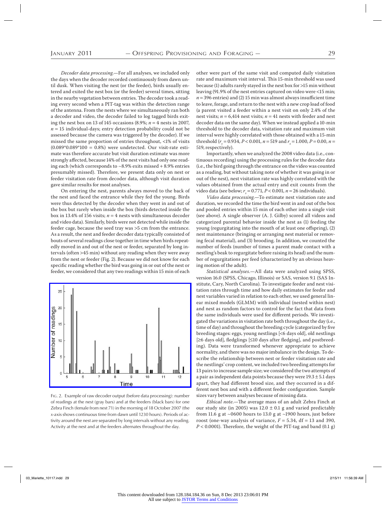*Decoder data processing*.—For all analyses, we included only the days when the decoder recorded continuously from dawn until dusk. When visiting the nest (or the feeder), birds usually en-

tered and exited the nest box (or the feeder) several times, sitting in the nearby vegetation between entries. The decoder took a reading every second when a PIT-tag was within the detection range of the antenna. From the nests where we simultaneously ran both a decoder and video, the decoder failed to log tagged birds exiting the nest box on 13 of 145 occasions (8.9%; *n* = 4 nests in 2007,  $n = 15$  individual-days; entry detection probability could not be assessed because the camera was triggered by the decoder). If we missed the same proportion of entries throughout, <1% of visits  $(0.089*0.089*100 = 0.8%)$  were undetected. Our visit-rate estimate was therefore accurate but visit duration estimate was more strongly affected, because 14% of the nest visits had only one reading each (which corresponds to  $\sim$ 8.9% exits missed + 8.9% entries presumably missed). Therefore, we present data only on nest or feeder visitation rate from decoder data, although visit duration gave similar results for most analyses.

On entering the nest, parents always moved to the back of the nest and faced the entrance while they fed the young. Birds were thus detected by the decoder when they went in and out of the box but rarely when inside the box (birds detected inside the box in 13.4% of 156 visits;  $n = 4$  nests with simultaneous decoder and video data). Similarly, birds were not detected while inside the feeder cage, because the seed tray was >5 cm from the entrance. As a result, the nest and feeder decoder data typically consisted of bouts of several readings close together in time when birds repeatedly moved in and out of the nest or feeder, separated by long intervals (often >45 min) without any reading when they were away from the nest or feeder (Fig. 2). Because we did not know for each specific reading whether the bird was going in or out of the nest or feeder, we considered that any two readings within 15 min of each



Fig. 2. Example of raw decoder output (before data processing): number of readings at the nest (gray bars) and at the feeders (black bars) for one Zebra Finch (female from nest 71) in the morning of 18 October 2007 (the *x*-axis shows continuous time from dawn until 1230 hours). Periods of activity around the nest are separated by long intervals without any reading. Activity at the nest and at the feeders alternates throughout the day.

other were part of the same visit and computed daily visitation rate and maximum visit interval. This 15-min threshold was used because (1) adults rarely stayed in the nest box for >15 min without leaving (91.9% of the nest entries captured on video were <15 min;  $n = 396$  entries) and (2) 15 min was almost always insufficient time to leave, forage, and return to the nest with a new crop load of food (a parent visited a feeder within a nest visit on only 2.4% of the nest visits;  $n = 6,414$  nest visits;  $n = 41$  nests with feeder and nest decoder data on the same day). When we instead applied a 10-min threshold to the decoder data, visitation rate and maximum visit interval were highly correlated with those obtained with a 15-min threshold ( $r_s = 0.934$ ,  $P < 0.001$ ,  $n = 519$  and  $r_s = 1.000$ ,  $P = 0.00$ ,  $n =$ 519, respectively).

Importantly, when we analyzed the 2008 video data (i.e., continuous recording) using the processing rules for the decoder data (i.e., the bird going through the entrance on the video was counted as a reading, but without taking note of whether it was going in or out of the nest), nest visitation rate was highly correlated with the values obtained from the actual entry and exit counts from the video data (see below;  $r = 0.771$ ,  $P < 0.001$ ,  $n = 26$  individuals).

*Video data processing*.—To estimate nest visitation rate and duration, we recorded the time the bird went in and out of the box and pooled entries within 15 min of each other into a single visit (see above). A single observer (A. J. Gilby) scored all videos and categorized parental behavior inside the nest as (1) feeding the young (regurgitating into the mouth of at least one offspring), (2) nest maintenance (bringing or arranging nest material or removing fecal material), and (3) brooding. In addition, we counted the number of feeds (number of times a parent made contact with a nestling's beak to regurgitate before raising its head) and the number of regurgitations per feed (characterized by an obvious heaving motion of the adult).

*Statistical analyses*.—All data were analyzed using SPSS, version 16.0 (SPSS, Chicago, Illinois) or SAS, version 9.1 (SAS Institute, Cary, North Carolina). To investigate feeder and nest visitation rates through time and how daily estimates for feeder and nest variables varied in relation to each other, we used general linear mixed models (GLMM) with individual (nested within nest) and nest as random factors to control for the fact that data from the same individuals were used for different periods. We investigated the variations in visitation rate both throughout the day (i.e., time of day) and throughout the breeding cycle (categorized by five breeding stages: eggs, young nestlings [<6 days old], old nestlings [≥6 days old], fledglings [≤10 days after fledging], and postbreeding). Data were transformed whenever appropriate to achieve normality, and there was no major imbalance in the design. To describe the relationship between nest or feeder visitation rate and the nestlings' crop content, we included two breeding attempts for 13 pairs to increase sample size; we considered the two attempts of a pair as independent data points because they were  $19.3 \pm 5.1$  days apart, they had different brood size, and they occurred in a different nest box and with a different feeder configuration. Sample sizes vary between analyses because of missing data.

*Ethical note*.—The average mass of an adult Zebra Finch at our study site (in 2005) was  $12.0 \pm 0.1$  g and varied predictably from 11.6 g at ~0600 hours to 13.0 g at ~1900 hours, just before roost (one-way analysis of variance,  $F = 5.34$ ,  $df = 13$  and 390,  $P < 0.0001$ ). Therefore, the weight of the PIT-tag and band  $(0.1 \text{ g})$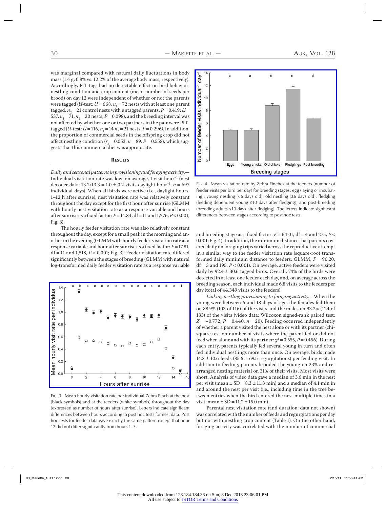was marginal compared with natural daily fluctuations in body mass (1.4 g; 0.8% vs. 12.2% of the average body mass, respectively). Accordingly, PIT-tags had no detectable effect on bird behavior: nestling condition and crop content (mean number of seeds per brood) on day 12 were independent of whether or not the parents were tagged (*U*-test:  $U = 668$ ,  $n_1 = 72$  nests with at least one parent tagged,  $n_2 = 21$  control nests with untagged parents,  $P = 0.419$ ;  $U =$ 537,  $n_1 = 71$ ,  $n_2 = 20$  nests,  $P = 0.098$ ), and the breeding interval was not affected by whether one or two partners in the pair were PITtagged (*U*-test:  $U = 116$ ,  $n_1 = 14$ ,  $n_2 = 21$  nests,  $P = 0.296$ ). In addition, the proportion of commercial seeds in the offspring crop did not affect nestling condition ( $r_s$  = 0.053,  $n$  = 89,  $P$  = 0.558), which suggests that this commercial diet was appropriate.

#### **Results**

*Daily and seasonal patterns in provisioning and foraging activity*.— Individual visitation rate was low: on average, 1 visit hour<sup>-1</sup> (nest decoder data;  $13.2/13.3 = 1.0 \pm 0.2$  visits daylight hour<sup>-1</sup>,  $n = 697$ individual-days). When all birds were active (i.e., daylight hours, 1–12 h after sunrise), nest visitation rate was relatively constant throughout the day except for the first hour after sunrise (GLMM with hourly nest visitation rate as a response variable and hours after sunrise as a fixed factor: *F* = 14.84, df = 11 and 1,276, *P* < 0.001; Fig. 3).

The hourly feeder visitation rate was also relatively constant throughout the day, except for a small peak in the morning and another in the evening (GLMM with hourly feeder-visitation rate as a response variable and hour after sunrise as a fixed factor: *F* = 17.81,  $df = 11$  and 1,518,  $P < 0.001$ ; Fig. 3). Feeder visitation rate differed significantly between the stages of breeding (GLMM with natural log-transformed daily feeder visitation rate as a response variable



Fig. 3. Mean hourly visitation rate per individual Zebra Finch at the nest (black symbols) and at the feeders (white symbols) throughout the day (expressed as number of hours after sunrise). Letters indicate significant differences between hours according to post hoc tests for nest data. Post hoc tests for feeder data gave exactly the same pattern except that hour 12 did not differ significantly from hours 1–3.



Fig. 4. Mean visitation rate by Zebra Finches at the feeders (number of feeder visits per bird per day) for breeding stages: egg (laying or incubating), young nestling (<6 days old), old nestling (≥6 days old), fledgling (feeding dependent young ≤10 days after fledging), and post-breeding (breeding adults >10 days after fledging). The letters indicate significant differences between stages according to post hoc tests.

and breeding stage as a fixed factor:  $F = 64.01$ , df = 4 and 275,  $P <$ 0.001; Fig. 4). In addition, the minimum distance that parents covered daily on foraging trips varied across the reproductive attempt in a similar way to the feeder visitation rate (square-root transformed daily minimum distance to feeders: GLMM, *F* = 90.20, df = 3 and 195, *P* < 0.001). On average, active feeders were visited daily by 92.4  $\pm$  30.6 tagged birds. Overall, 74% of the birds were detected in at least one feeder each day, and, on average across the breeding season, each individual made 6.8 visits to the feeders per day (total of 44,349 visits to the feeders).

*Linking nestling provisioning to foraging activity*.—When the young were between 6 and 18 days of age, the females fed them on 88.9% (103 of 116) of the visits and the males on 93.2% (124 of 133) of the visits (video data; Wilcoxon signed-rank paired test:  $Z = -0.772$ ,  $P = 0.440$ ,  $n = 20$ ). Feeding occurred independently of whether a parent visited the nest alone or with its partner (chisquare test on number of visits where the parent fed or did not feed when alone and with its partner:  $\chi^2$  = 0.555, *P* = 0.456). During each entry, parents typically fed several young in turn and often fed individual nestlings more than once. On average, birds made  $14.8 \pm 10.6$  feeds (85.6  $\pm$  69.5 regurgitations) per feeding visit. In addition to feeding, parents brooded the young on 23% and rearranged nesting material on 31% of their visits. Most visits were short. Analysis of video data gave a median of 3.6 min in the nest per visit (mean  $\pm$  SD = 8.3  $\pm$  11.3 min) and a median of 4.1 min in and around the nest per visit (i.e., including time in the tree between entries when the bird entered the nest multiple times in a visit; mean  $\pm$  SD = 11.2  $\pm$  15.0 min).

Parental nest visitation rate (and duration; data not shown) was correlated with the number of feeds and regurgitations per day but not with nestling crop content (Table 1). On the other hand, foraging activity was correlated with the number of commercial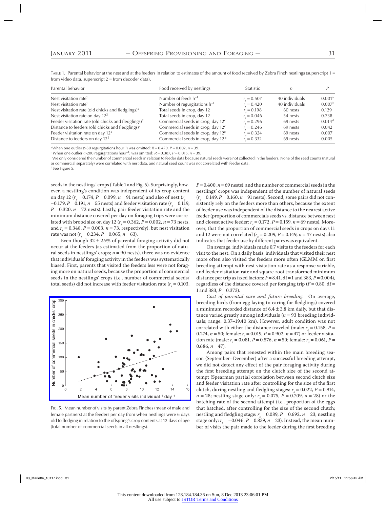| Parental behavior                                               | Food received by nestlings                    | Statistic           | n              |                    |
|-----------------------------------------------------------------|-----------------------------------------------|---------------------|----------------|--------------------|
| Nest visitation rate <sup>1</sup>                               | Number of feeds $h^{-1}$                      | $r_c = 0.507$       | 40 individuals | 0.001 <sup>a</sup> |
| Nest visitation rate <sup>1</sup>                               | Number of regurgitations $h^{-1}$             | $r_c = 0.420$       | 40 individuals | 0.007 <sup>b</sup> |
| Nest visitation rate (old chicks and fledglings) <sup>2</sup>   | Total seeds in crop, day 12                   | $r_c = 0.198$       | 60 nests       | 0.129              |
| Nest visitation rate on day 12 <sup>2</sup>                     | Total seeds in crop, day 12                   | $r_{\rm c} = 0.046$ | 54 nests       | 0.738              |
| Feeder visitation rate (old chicks and fledglings) <sup>2</sup> | Commercial seeds in crop, day 12 <sup>c</sup> | $r_{\rm c} = 0.296$ | 69 nests       | 0.014 <sup>d</sup> |
| Distance to feeders (old chicks and fledglings) <sup>2</sup>    | Commercial seeds in crop, day 12 <sup>c</sup> | $r = 0.246$         | 69 nests       | 0.042              |
| Feeder visitation rate on day 12 <sup>2</sup>                   | Commercial seeds in crop, day 12 <sup>c</sup> | $r_c = 0.324$       | 69 nests       | 0.007              |
| Distance to feeders on day $122$                                | Commercial seeds in crop, day 12 <sup>c</sup> | $r_c = 0.332$       | 69 nests       | 0.005              |

TABLE 1. Parental behavior at the nest and at the feeders in relation to estimates of the amount of food received by Zebra Finch nestlings (superscript 1 = from video data, superscript  $2 =$  from decoder data).

<sup>a</sup>When one outlier (>30 regurgitations hour<sup>-1</sup>) was omitted:  $R = 0.479$ ,  $P = 0.002$ ,  $n = 39$ .

<sup>b</sup>When one outlier (>200 regurgitations hour<sup>-1</sup>) was omitted:  $R = 0.387$ ,  $P = 0.015$ ,  $n = 39$ .

cWe only considered the number of commercial seeds in relation to feeder data because natural seeds were not collected in the feeders. None of the seed counts (natural or commercial separately) were correlated with nest data, and natural seed count was not correlated with feeder data. <sup>d</sup> See Figure 5.

seeds in the nestlings' crops (Table 1 and Fig. 5). Surprisingly, however, a nestling's condition was independent of its crop content on day 12 ( $r_s$  = 0.174, *P* = 0.099, *n* = 91 nests) and also of nest ( $r_s$  =  $-0.179$ ,  $P = 0.191$ ,  $n = 55$  nests) and feeder visitation rate ( $r<sub>s</sub> = 0.119$ ,  $P = 0.320$ ,  $n = 72$  nests). Lastly, pair feeder visitation rate and the minimum distance covered per day on foraging trips were correlated with brood size on day 12 ( $r_s = 0.362$ ,  $P = 0.002$ ,  $n = 73$  nests, and  $r<sub>s</sub> = 0.348$ ,  $P = 0.003$ ,  $n = 73$ , respectively), but nest visitation rate was not  $(r_s = 0.234, P = 0.065, n = 63)$ .

Even though  $32 \pm 2.9\%$  of parental foraging activity did not occur at the feeders (as estimated from the proportion of natural seeds in nestlings' crops;  $n = 90$  nests), there was no evidence that individuals' foraging activity in the feeders was systematically biased. First, parents that visited the feeders less were not foraging more on natural seeds, because the proportion of commercial seeds in the nestlings' crops (i.e., number of commercial seeds/ total seeds) did not increase with feeder visitation rate  $(r_s = 0.103,$ 



Fig. 5. Mean number of visits by parent Zebra Finches (mean of male and female partners) at the feeders per day from when nestlings were 6 days old to fledging in relation to the offspring's crop contents at 12 days of age (total number of commercial seeds in all nestlings).

 $P = 0.400$ ,  $n = 69$  nests), and the number of commercial seeds in the nestlings' crops was independent of the number of natural seeds  $(r<sub>c</sub> = 0.149, P = 0.160, n = 91$  nests). Second, some pairs did not consistently rely on the feeders more than others, because the extent of feeder use was independent of the distance to the nearest active feeder (proportion of commercials seeds vs. distance between nest and closest active feeder:  $r_s = 0.172$ ,  $P = 0.159$ ,  $n = 69$  nests). Moreover, that the proportion of commercial seeds in crops on days 11 and 12 were not correlated  $(r<sub>s</sub> = 0.209, P = 0.149, n = 47$  nests) also indicates that feeder use by different pairs was equivalent.

On average, individuals made 0.7 visits to the feeders for each visit to the nest. On a daily basis, individuals that visited their nest more often also visited the feeders more often (GLMM on first breeding attempt with nest visitation rate as a response variable, and feeder visitation rate and square-root transformed minimum distance per trip as fixed factors:  $F = 8.41$ , df = 1 and 383,  $P = 0.004$ ), regardless of the distance covered per foraging trip  $(F = 0.80, df =$ 1 and 383, *P* = 0.373).

*Cost of parental care and future breeding*.—On average, breeding birds (from egg laying to caring for fledglings) covered a minimum recorded distance of  $6.4 \pm 3.8$  km daily, but that distance varied greatly among individuals ( $n = 93$  breeding individuals; range: 0.37–19.40 km). However, adult condition was not correlated with either the distance traveled (male:  $r<sub>1</sub> = 0.158$ ,  $P =$ 0.274,  $n = 50$ ; female:  $r_s = 0.019$ ,  $P = 0.902$ ,  $n = 47$ ) or feeder visitation rate (male:  $r_s = 0.081$ ,  $P = 0.576$ ,  $n = 50$ ; female:  $r_s = 0.061$ ,  $P =$  $0.686, n = 47$ ).

Among pairs that renested within the main breeding season (September–December) after a successful breeding attempt, we did not detect any effect of the pair foraging activity during the first breeding attempt on the clutch size of the second attempt (Spearman partial correlation between second clutch size and feeder visitation rate after controlling for the size of the first clutch, during nestling and fledgling stages:  $r<sub>s</sub> = 0.022$ ,  $P = 0.914$ ,  $n = 28$ ; nestling stage only:  $r_s = 0.075$ ,  $P = 0.709$ ,  $n = 28$ ) or the hatching rate of the second attempt (i.e., proportion of the eggs that hatched, after controlling for the size of the second clutch; nestling and fledgling stage:  $r_s = 0.089$ ,  $P = 0.692$ ,  $n = 23$ ; nestling stage only:  $r = -0.046$ ,  $P = 0.839$ ,  $n = 23$ ). Instead, the mean number of visits the pair made to the feeder during the first breeding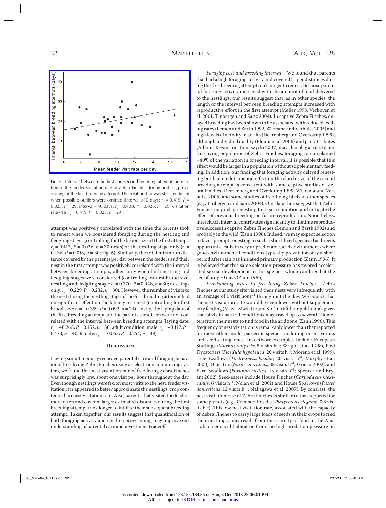18



Fig. 6. Interval between the first and second breeding attempts in relation to the feeder visitation rate of Zebra Finches during nestling provisioning of the first breeding attempt. The relationship was still significant when possible outliers were omitted (interval >10 days:  $r<sub>s</sub> = 0.419$ ,  $P =$ 0.023, *n* = 29; interval <40 days: *r<sub>s</sub>* = 0.408, *P* = 0.028, *n* = 29; visitation rate <16:  $r<sub>s</sub> = 0.419$ ,  $P = 0.023$ ,  $n = 29$ ).

Mean feeder visit rate per day

attempt was positively correlated with the time the parents took to renest when we considered foraging during the nestling and fledgling stages (controlling for the brood size of the first attempt:  $r_s = 0.413$ ,  $P = 0.026$ ,  $n = 30$  nests) or the nestling stage only ( $r_s =$ 0.436,  $P = 0.018$ ,  $n = 30$ ; Fig. 6). Similarly, the total minimum distance covered by the parents per day between the feeders and their nest in the first attempt was positively correlated with the interval between breeding attempts, albeit only when both nestling and fledgling stages were considered (controlling for first brood size, nestling and fledgling stage:  $r_s = 0.370$ ,  $P = 0.048$ ,  $n = 30$ ; nestlings only:  $r_s = 0.229$ ,  $P = 0.232$ ,  $n = 30$ ). However, the number of visits to the nest during the nestling stage of the first breeding attempt had no significant effect on the latency to renest (controlling for first brood size:  $r_s = -0.359$ ,  $P = 0.092$ ,  $n = 24$ ). Lastly, the laying date of the first breeding attempt and the parents' condition were not correlated with the interval between breeding attempts (laying date:  $r_s = -0.268$ ,  $P = 0.152$ ,  $n = 30$ ; adult condition: male:  $r_s = -0.117$ ,  $P =$ 0.473,  $n = 40$ ; female:  $r_s = -0.053$ ,  $P = 0.754$ ,  $n = 38$ ).

#### **Discussion**

Having simultaneously recorded parental care and foraging behavior of free-living Zebra Finches using an electronic monitoring system, we found that nest visitation rate of free-living Zebra Finches was surprisingly low, about one visit per hour throughout the day. Even though nestlings were fed on most visits to the nest, feeder visitation rate appeared to better approximate the nestlings' crop contents than nest visitation rate. Also, parents that visited the feeders more often and covered larger estimated distances during the first breeding attempt took longer to initiate their subsequent breeding attempt. Taken together, our results suggest that quantification of both foraging activity and nestling provisioning may improve our understanding of parental care and investment tradeoffs.

*Foraging cost and breeding interval*.—We found that parents that had a high foraging activity and covered larger distances during the first breeding attempt took longer to renest. Because parental foraging activity increased with the amount of food delivered to the nestlings, our results suggest that, as in other species, the length of the interval between breeding attempts increased with reproductive effort in the first attempt (Møller 1993, Verboven et al. 2001, Tinbergen and Sanz 2004). In captive Zebra Finches, delayed breeding has been shown to be associated with reduced feeding rates (Lemon and Barth 1992, Wiersma and Verhulst 2005) and high levels of activity in adults (Deerenberg and Overkamp 1999), although individual quality (Blount et al. 2006) and pair attributes (Adkins-Regan and Tomaszycki 2007) may also play a role. In our free-living population of Zebra Finches, foraging rate explained  $~10\%$  of the variation in breeding interval. It is possible that this effect would be larger in a population without supplementary feeding. In addition, our finding that foraging activity delayed renesting but had no detrimental effect on the clutch size of the second breeding attempt is consistent with some captive studies of Zebra Finches (Deerenberg and Overkamp 1999, Wiersma and Verhulst 2005) and some studies of free-living birds in other species (e.g., Tinbergen and Sanz 2004). Our data thus suggest that Zebra Finches may delay renesting to regain condition and mitigate the effect of previous breeding on future reproduction. Nonetheless, interclutch interval contributes significantly to lifetime reproductive success in captive Zebra Finches (Lemon and Barth 1992) and probably in the wild (Zann 1996). Indeed, we may expect selection to favor prompt renesting in such a short-lived species that breeds opportunistically in very unpredictable, arid environments where good environmental conditions typically prevail for only a short period after rain has initiated primary production (Zann 1996). It is believed that this same selection pressure has favored accelerated sexual development in this species, which can breed at the age of only 70 days (Zann 1996).

*Provisioning rates in free-living Zebra Finches*.—Zebra Finches at our study site visited their nests very infrequently, with an average of  $1$  visit hour<sup>-1</sup> throughout the day. We expect that the nest visitation rate would be even lower without supplementary feeding (M. M. Mariette and S. C. Griffith unpubl. data), given that birds in natural conditions may travel up to several kilometers from their nests to find food in the arid zone (Zann 1996). This frequency of nest visitation is remarkably lower than that reported for most other model passerine species, including insectivorous and seed-eating ones. Insectivore examples include European Starlings (*Sturnus vulgaris*; 8 visits h–1; Wright et al. 1998), Pied Flycatchers (*Ficedula hypoleuca*; 20 visits h–1; Moreno et al. 1999), Tree Swallows (*Tachycineta bicolor*; 20 visits h<sup>-1</sup>; Murphy et al. 2000), Blue Tits (*Parus caeruleus*; 35 visits h–1; Grieco 2002), and Barn Swallows (*Hirundo rustica*; 15 visits h<sup>-1</sup>; Spencer and Bryant 2002). Seed-eaters include House Finches (*Carpodacus mexicanus*; 6 visits h–1; Nolan et al. 2001) and House Sparrows (*Passer domesticus*; 12 visits h–1; Nakagawa et al. 2007). By contrast, the nest visitation rate of Zebra Finches is similar to that reported for some parrots (e.g., Crimson Rosella [*Platycercus elegans*]; 0.8 visits  $h^{-1}$ ). This low nest visitation rate, associated with the capacity of Zebra Finches to carry large loads of seeds in their crops to feed their nestlings, may result from the scarcity of food in the Australian semiarid habitat or from the high predation pressure on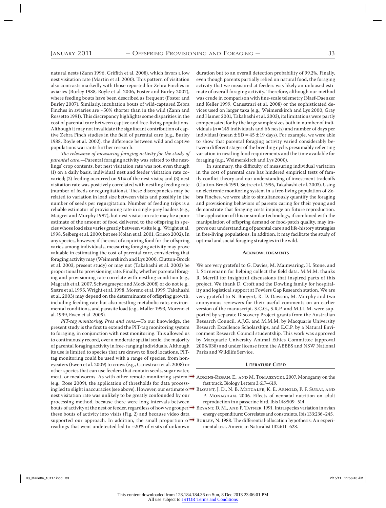natural nests (Zann 1996, Griffith et al. 2008), which favors a low nest visitation rate (Martin et al. 2000). This pattern of visitation also contrasts markedly with those reported for Zebra Finches in aviaries (Burley 1988, Royle et al. 2006, Foster and Burley 2007), where feeding bouts have been described as frequent (Foster and Burley 2007). Similarly, incubation bouts of wild-captured Zebra Finches in aviaries are ~50% shorter than in the wild (Zann and Rossetto 1991). This discrepancy highlights some disparities in the cost of parental care between captive and free-living populations. Although it may not invalidate the significant contribution of captive Zebra Finch studies in the field of parental care (e.g., Burley

1988, Royle et al. 2002), the difference between wild and captive

populations warrants further research. *The relevance of measuring foraging activity for the study of parental care*.—Parental foraging activity was related to the nestlings' crop contents, but nest visitation rate was not, even though (1) on a daily basis, individual nest and feeder visitation rate covaried; (2) feeding occurred on 91% of the nest visits; and (3) nest visitation rate was positively correlated with nestling feeding rate (number of feeds or regurgitations). These discrepancies may be related to variation in load size between visits and possibly in the number of seeds per regurgitation. Number of feeding trips is a reliable estimator of provisioning rate in single-prey loaders (e.g., Maigret and Murphy 1997), but nest visitation rate may be a poor estimate of the amount of food delivered to the offspring in species whose load size varies greatly between visits (e.g., Wright et al. 1998, Sejberg et al. 2000; but see Nolan et al. 2001, Grieco 2002). In any species, however, if the cost of acquiring food for the offspring varies among individuals, measuring foraging activity may prove valuable in estimating the cost of parental care, considering that foraging activity may (Weimerskirch and Lys 2000, Clutton-Brock et al. 2003, present study) or may not (Takahashi et al. 2003) be proportional to provisioning rate. Finally, whether parental foraging and provisioning rate correlate with nestling condition (e.g., Magrath et al. 2007, Schwagmeyer and Mock 2008) or do not (e.g., Sætre et al. 1995, Wright et al. 1998, Moreno et al. 1999, Takahashi et al. 2003) may depend on the determinants of offspring growth, including feeding rate but also nestling metabolic rate, environmental conditions, and parasite load (e.g., Møller 1993, Moreno et al. 1999, Ewen et al. 2009).

*PIT-tag monitoring: Pros and cons*.—To our knowledge, the present study is the first to extend the PIT-tag monitoring system to foraging, in conjunction with nest monitoring. This allowed us to continuously record, over a moderate spatial scale, the majority of parental foraging activity in free-ranging individuals. Although its use is limited to species that are drawn to fixed locations, PITtag monitoring could be used with a range of species, from honeyeaters (Ewen et al. 2009) to crows (e.g., Canestrari et al. 2008) or other species that can use feeders that contain seeds, sugar water, (e.g., Rose 2009), the application of thresholds for data processing led to slight inaccuracies (see above). However, our estimate o → BLOUNT, J. D., N. B. METCALFE, K. E. ARNOLD, P. F. SURAI, AND nest visitation rate was unlikely to be greatly confounded by our processing method, because there were long intervals between these bouts of activity into visits (Fig. 2) and because video data readings that went undetected led to ~20% of visits of unknown

duration but to an overall detection probability of 99.2%. Finally, even though parents partially relied on natural food, the foraging activity that we measured at feeders was likely an unbiased estimate of overall foraging activity. Therefore, although our method was crude in comparison with fine-scale telemetry (Naef-Daenzer and Keller 1999, Canestrari et al. 2008) or the sophisticated devices used on larger taxa (e.g., Weimerskirch and Lys 2000, Gray and Hamer 2001, Takahashi et al. 2003), its limitations were partly compensated for by the large sample sizes both in number of individuals ( $n = 145$  individuals and 66 nests) and number of days per individual (mean  $\pm$  SD = 45  $\pm$  19 days). For example, we were able to show that parental foraging activity varied considerably between different stages of the breeding cycle, presumably reflecting variation in nestling food requirements and the time available for foraging (e.g., Weimerskirch and Lys 2000).

In summary, the difficulty of measuring individual variation in the cost of parental care has hindered empirical tests of family conflict theory and our understanding of investment tradeoffs (Clutton-Brock 1991, Sætre et al. 1995, Takahashi et al. 2003). Using an electronic monitoring system in a free-living population of Zebra Finches, we were able to simultaneously quantify the foraging and provisioning behaviors of parents caring for their young and demonstrate that foraging costs impinge on future reproduction. The application of this or similar technology, if combined with the manipulation of offspring demand or food-patch quality, may improve our understanding of parental care and life-history strategies in free-living populations. In addition, it may facilitate the study of optimal and social foraging strategies in the wild.

#### **Acknowledgments**

We are very grateful to G. Davies, M. Mainwaring, H. Stone, and I. Stirnemann for helping collect the field data. M.M.M. thanks R. Merrill for insightful discussions that inspired parts of this project. We thank D. Croft and the Dowling family for hospitality and logistical support at Fowlers Gap Research station. We are very grateful to N. Boogert, R. D. Dawson, M. Murphy and two anonymous reviewers for their useful comments on an earlier version of the manuscript. S.C.G., S.R.P. and M.J.L.M. were supported by separate Discovery Project grants from the Australian Research Council, A.J.G. and M.M.M. by Macquarie University Research Excellence Scholarships, and E.C.P. by a Natural Environment Research Council studentship. This work was approved by Macquarie University Animal Ethics Committee (approval 2008/038) and under license from the ABBBS and NSW National Parks and Wildlife Service.

#### **Literature Cited**

- meat, or mealworms. As with other remote-monitoring systems  $\rightarrow$  Adkins-Regan, E., and M. Tomaszycki. 2007. Monogamy on the fast track. Biology Letters 3:617–619.
	- P. Monaghan. 2006. Effects of neonatal nutrition on adult reproduction in a passerine bird. Ibis 148:509–514.
- bouts of activity at the nest or feeder, regardless of how we grouped Bryant, D. M., and P. Tatner. 1991. Intraspecies variation in avian energy expenditure: Correlates and constraints. Ibis 133:236–245.
- supported our approach. In addition, the small proportion o $\rightarrow$  Burley, N. 1988. The differential-allocation hypothesis: An experimental test. American Naturalist 132:611–628.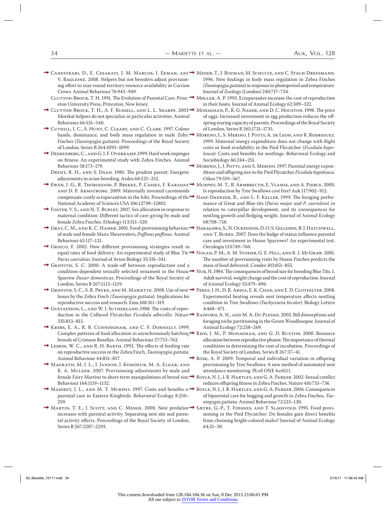- Canestrari, D., E. Chiarati, J. M. Marcos, J. Ekman, and Meijer, T., J. Rozman, M. Schulte, and C. Stach-Dreesmann. V. BAGLIONE. 2008. Helpers but not breeders adjust provisioning effort to year-round territory resource availability in Carrion Crows. Animal Behaviour 76:943–949.
	- CLUTTON-BROCK, T. H. 1991. The Evolution of Parental Care. Princ  $\rightarrow$  Møller, A. P. 1993. Ectoparasites increase the cost of reproduction eton University Press, Princeton, New Jersey.
- Clutton-Brock, T. H., A. F. Russell, and L. L. Sharpe. 2003 → Monaghan, P., R. G. Nager, and D. C. Houston. 1998. The price Meerkat helpers do not specialize in particular activities. Animal Behaviour 66:531–540.
- Cuthill, I. C., S. Hunt, C. Cleary, and C. Clark. 1997. Colour bands, dominance, and body mass regulation in male Zebra $\rightarrow$ Finches (*Taeniopygia guttata*). Proceedings of the Royal Society of London, Series B 264:1093–1099.
- → DEERENBERG, C., AND G. J. F. OVERKAMP. 1999. Hard work impinges on fitness: An experimental study with Zebra Finches. Animal Behaviour 58:173–179.
	- Drent, R. H., and S. Daan. 1980. The prudent parent: Energetic adjustments in avian breeding. Ardea 68:225–252.
- Ewen, J. G., R. Thorogood, P. Brekke, P. Cassey, F. Karadas, Murphy, M. T., B. Armbrecth, E. Vlamis, and A. Pierce. 2000. and D. P. Armstrong. 2009. Maternally invested carotenoids National Academy of Sciences USA 106:12798–12802.
- Foster, V. S., and N. T. Burley. 2007. Sex allocation in response to maternal condition: Different tactics of care-giving by male and female Zebra Finches. Ethology 113:511–520.
- Gray, C. M., and K. C. Hamer. 2001. Food-provisioning behaviour Nakagawa, S., N. Ockendon, D. O. S. Gillespie, B. J. Hatchwell, of male and female Manx Shearwaters, *Puffinus puffinus*. Animal Behaviour 62:117–121.
- Grieco, F. 2002. How different provisioning strategies result in *Parus caeruleus*. Journal of Avian Biology 33:331–341.
- GRIFFITH, S. C. 2000. A trade-off between reproduction and a Sparrow *Passer domesticus*. Proceedings of the Royal Society of London, Series B 267:1115–1119.
- Griffith, S. C., S. R. Pryke, and M. Mariette. 2008. Use of nest-Perez, J. H., D. R. Ardia, E. K. Chad, and E. D. Clotfelter. 2008. boxes by the Zebra Finch (*Taeniopygia guttata*): Implications for reproductive success and research. Emu 108:311–319.
- Gustafsson, L., and W. J. Sutherland. 1988. The costs of repro-335:813–815.
- Krebs, E. A., R. B. Cunningham, and C. F. Donnelly. 1999. broods of Crimson Rosellas. Animal Behaviour 57:753–763.
- → LEMON, W. C., AND R. H. BARTH. 1992. The effects of feeding rate on reproductive success in the Zebra Finch, *Taeniopygia guttata*. Animal Behaviour 44:851–857.
- Magrath, M. J. L., J. Janson, J. Komdeur, M. A. Elgar, and R. A. MULDER. 2007. Provisioning adjustments by male and Behaviour 144:1119–1132.
- Maigret, J. L., and M. T. Murphy. 1997. Costs and benefits o → Royle, N. J., I. R. Hartley, and G. A. Parker. 2006. Consequences parental care in Eastern Kingbirds. Behavioral Ecology 8:250– 259.
- Martin, T. E., J. Scott, and C. Menge. 2000. Nest predatior → Sætre, G.-P., T. Fossnes, and T. Slagsvold. 1995. Food proviincreases with parental activity: Separating nest site and parental activity effects. Proceedings of the Royal Society of London, Series B 267:2287–2293.
- 1996. New findings in body mass regulation in Zebra Finches (*Taeniopygia guttata*) in response to photoperiod and temperature. Journal of Zoology (London) 240:717–734.
- in their hosts. Journal of Animal Ecology 62:309–322.
- of eggs: Increased investment in egg production reduces the offspring rearing capacity of parents. Proceedings of the Royal Society of London, Series B 265:1731–1735.
- Moreno, J., S. Merino, J. Potti, A. de Leon, and R. Rodriguez. 1999. Maternal energy expenditure does not change with flight costs or food availability in the Pied Flycatcher (*Ficedula hypoleuca*): Costs and benefits for nestlings. Behavioral Ecology and Sociobiology 46:244–251.
- $*$  Moreno, J., J. Potti, and S. Merino. 1997. Parental energy expenditure and offspring size in the Pied Flycatcher *Ficedula hypoleuca*. Oikos 79:559–567.
	- Is reproduction by Tree Swallows cost free? Auk 117:902–912.
- compensate costly ectoparasitism in the hihi. Proceedings of the Naef-Daenzer, B., and L. F. Keller. 1999. The foraging performance of Great and Blue tits (*Parus major* and *P. caerulens*) in relation to caterpillar development, and its consequences for nestling growth and fledging weight. Journal of Animal Ecology 68:708–718.
	- and T. Burke. 2007. Does the badge of status influence parental care and investment in House Sparrows? An experimental test. Oecologia 153:749–760.
- equal rates of food delivery: An experimental study of Blue Tit: ➡ NOLAN, P. M., A. M. SтоEнв, G. E. HILL, AND K. J. McGrAw. 2001. The number of provisioning visits by House Finches predicts the mass of food delivered. Condor 103:851–855.
- condition-dependent sexually selected ornament in the House  $\rightarrow$  Nur, N. 1984. The consequences of brood size for breeding Blue Tits. 1. Adult survival, weight change and the cost of reproduction. Journal of Animal Ecology 53:479–496.
	- Experimental heating reveals nest temperature affects nestling condition in Tree Swallows (*Tachycineta bicolor*). Biology Letters 4:468–471.
- duction in the Collared Flycatcher *Ficedula albicollis*. Nature Radford, A. N., and M. A. Du Plessis. 2003. Bill dimorphism and foraging niche partitioning in the Green Woodhoopoe. Journal of Animal Ecology 72:258–269.
- Complex patterns of food allocation in asynchronously hatching → REID, J. M., P. МомаGнам, амр G. D. Ruxтом. 2000. Resource allocation between reproductive phases: The importance of thermal conditions in determining the cost of incubation. Proceedings of the Royal Society of London, Series B 267:37–41.
	- Rose, A. P. 2009. Temporal and individual variation in offspring provisioning by Tree Swallows: A new method of automated nest attendance monitoring. PLoS ONE 4:e4111.
- female Fairy Martins to short-term manipulations of brood size ➡ RoyLe, N. J., I. R. HARTLEY, AND G. A. PARKER. 2002. Sexual conflict reduces offspring fitness in Zebra Finches. Nature 416:733–736.
	- of biparental care for begging and growth in Zebra Finches, *Taeniopygia guttata*. Animal Behaviour 72:123–130.
	- sioning in the Pied Flycatcher: Do females gain direct benefits from choosing bright-colored males? Journal of Animal Ecology 64:21–30.